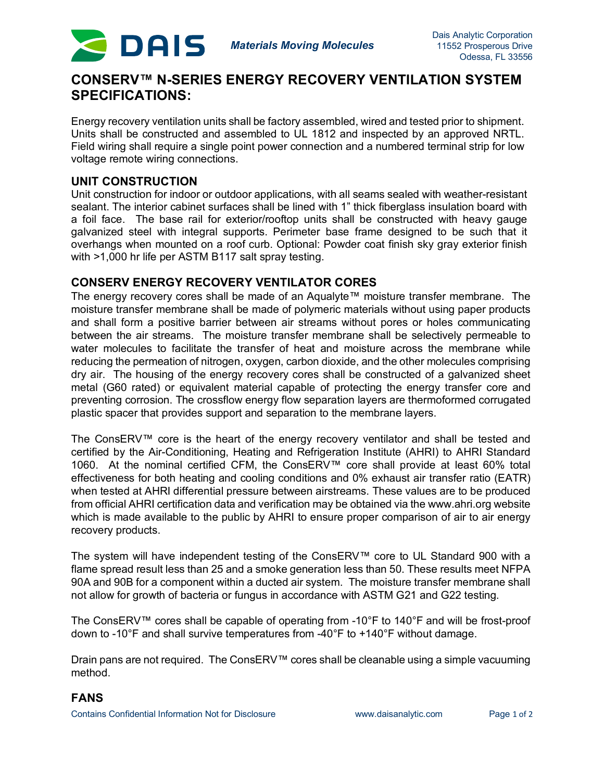

# **CONSERV™ N-SERIES ENERGY RECOVERY VENTILATION SYSTEM SPECIFICATIONS:**

Energy recovery ventilation units shall be factory assembled, wired and tested prior to shipment. Units shall be constructed and assembled to UL 1812 and inspected by an approved NRTL. Field wiring shall require a single point power connection and a numbered terminal strip for low voltage remote wiring connections.

#### **UNIT CONSTRUCTION**

Unit construction for indoor or outdoor applications, with all seams sealed with weather-resistant sealant. The interior cabinet surfaces shall be lined with 1" thick fiberglass insulation board with a foil face. The base rail for exterior/rooftop units shall be constructed with heavy gauge galvanized steel with integral supports. Perimeter base frame designed to be such that it overhangs when mounted on a roof curb. Optional: Powder coat finish sky gray exterior finish with >1,000 hr life per ASTM B117 salt spray testing.

### **CONSERV ENERGY RECOVERY VENTILATOR CORES**

The energy recovery cores shall be made of an Aqualyte™ moisture transfer membrane. The moisture transfer membrane shall be made of polymeric materials without using paper products and shall form a positive barrier between air streams without pores or holes communicating between the air streams. The moisture transfer membrane shall be selectively permeable to water molecules to facilitate the transfer of heat and moisture across the membrane while reducing the permeation of nitrogen, oxygen, carbon dioxide, and the other molecules comprising dry air. The housing of the energy recovery cores shall be constructed of a galvanized sheet metal (G60 rated) or equivalent material capable of protecting the energy transfer core and preventing corrosion. The crossflow energy flow separation layers are thermoformed corrugated plastic spacer that provides support and separation to the membrane layers.

The ConsERV™ core is the heart of the energy recovery ventilator and shall be tested and certified by the Air-Conditioning, Heating and Refrigeration Institute (AHRI) to AHRI Standard 1060. At the nominal certified CFM, the ConsERV™ core shall provide at least 60% total effectiveness for both heating and cooling conditions and 0% exhaust air transfer ratio (EATR) when tested at AHRI differential pressure between airstreams. These values are to be produced from official AHRI certification data and verification may be obtained via the www.ahri.org website which is made available to the public by AHRI to ensure proper comparison of air to air energy recovery products.

The system will have independent testing of the ConsERV™ core to UL Standard 900 with a flame spread result less than 25 and a smoke generation less than 50. These results meet NFPA 90A and 90B for a component within a ducted air system. The moisture transfer membrane shall not allow for growth of bacteria or fungus in accordance with ASTM G21 and G22 testing.

The ConsERV™ cores shall be capable of operating from -10°F to 140°F and will be frost-proof down to -10°F and shall survive temperatures from -40°F to +140°F without damage.

Drain pans are not required. The ConsERV™ cores shall be cleanable using a simple vacuuming method.

#### **FANS**

Contains Confidential Information Not for Disclosure www.daisanalytic.com Page 1 of 2